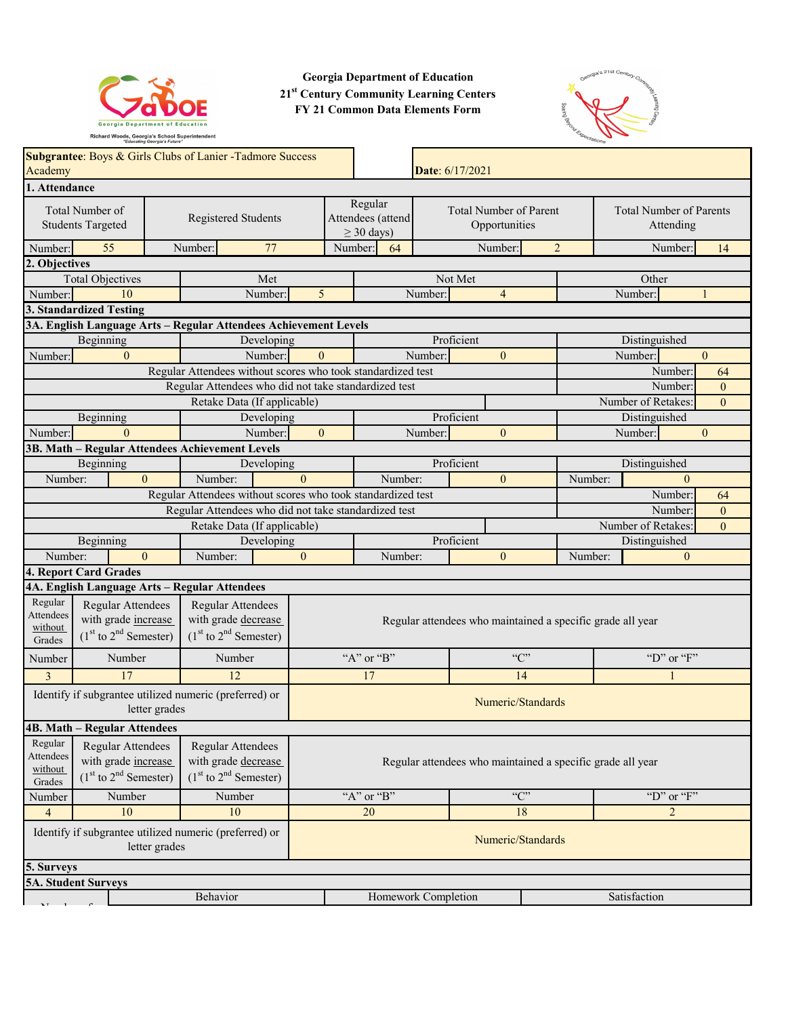

**Georgia Department of Education 21st Century Community Learning Centers FY 21 Common Data Elements Form**



| Academy                                                                                                                                                                                     | Subgrantee: Boys & Girls Clubs of Lanier - Tadmore Success                                   |                                                                       |            |                                                            |                            |                     |                                      | Date: 6/17/2021                                            |                |         |                                             |                |
|---------------------------------------------------------------------------------------------------------------------------------------------------------------------------------------------|----------------------------------------------------------------------------------------------|-----------------------------------------------------------------------|------------|------------------------------------------------------------|----------------------------|---------------------|--------------------------------------|------------------------------------------------------------|----------------|---------|---------------------------------------------|----------------|
| 1. Attendance                                                                                                                                                                               |                                                                                              |                                                                       |            |                                                            |                            |                     |                                      |                                                            |                |         |                                             |                |
|                                                                                                                                                                                             | Total Number of<br><b>Students Targeted</b>                                                  | Registered Students                                                   |            |                                                            | Regular<br>$\geq$ 30 days) | Attendees (attend   |                                      | <b>Total Number of Parent</b><br>Opportunities             |                |         | <b>Total Number of Parents</b><br>Attending |                |
| Number:                                                                                                                                                                                     | 55                                                                                           | Number:                                                               | 77         |                                                            | Number:                    | 64                  |                                      | Number:                                                    | 2              |         | Number:                                     | 14             |
| 2. Objectives                                                                                                                                                                               |                                                                                              |                                                                       |            |                                                            |                            |                     |                                      |                                                            |                |         |                                             |                |
|                                                                                                                                                                                             | <b>Total Objectives</b>                                                                      |                                                                       | Met        |                                                            |                            |                     |                                      | Not Met                                                    |                |         | Other                                       |                |
| Number:                                                                                                                                                                                     | 10                                                                                           |                                                                       | Number:    | 5                                                          |                            |                     | Number:                              | $\overline{4}$                                             |                |         | Number:                                     | 1              |
|                                                                                                                                                                                             | 3. Standardized Testing                                                                      |                                                                       |            |                                                            |                            |                     |                                      |                                                            |                |         |                                             |                |
|                                                                                                                                                                                             | 3A. English Language Arts - Regular Attendees Achievement Levels                             |                                                                       |            |                                                            |                            |                     |                                      |                                                            |                |         |                                             |                |
|                                                                                                                                                                                             | Beginning                                                                                    |                                                                       | Developing |                                                            |                            |                     |                                      | Proficient                                                 |                |         | Distinguished                               |                |
| Number:                                                                                                                                                                                     | $\mathbf{0}$                                                                                 |                                                                       | Number:    | $\theta$                                                   |                            |                     | Number:                              | $\mathbf{0}$                                               |                |         | Number:                                     | $\overline{0}$ |
|                                                                                                                                                                                             |                                                                                              | Regular Attendees without scores who took standardized test           |            |                                                            |                            |                     |                                      |                                                            |                |         | Number:                                     | 64             |
|                                                                                                                                                                                             |                                                                                              | Regular Attendees who did not take standardized test                  |            |                                                            |                            |                     |                                      |                                                            |                |         | Number:                                     | $\overline{0}$ |
|                                                                                                                                                                                             |                                                                                              | Retake Data (If applicable)                                           |            |                                                            |                            |                     |                                      |                                                            |                |         | Number of Retakes:                          | $\overline{0}$ |
|                                                                                                                                                                                             | Beginning                                                                                    |                                                                       | Developing |                                                            |                            |                     |                                      | Proficient                                                 |                |         | Distinguished                               |                |
| Number:                                                                                                                                                                                     | $\Omega$                                                                                     |                                                                       | Number:    | $\mathbf{0}$                                               |                            |                     | Number:                              | $\mathbf{0}$                                               |                |         | Number:                                     | $\mathbf{0}$   |
|                                                                                                                                                                                             | 3B. Math - Regular Attendees Achievement Levels                                              |                                                                       |            |                                                            |                            |                     |                                      |                                                            |                |         |                                             |                |
|                                                                                                                                                                                             | Beginning                                                                                    |                                                                       | Developing |                                                            |                            |                     |                                      | Proficient                                                 |                |         | Distinguished                               |                |
| Number:                                                                                                                                                                                     | $\Omega$                                                                                     | Number:                                                               |            | $\Omega$                                                   |                            | Number:             |                                      | $\mathbf{0}$                                               |                | Number: | $\mathbf{0}$                                |                |
|                                                                                                                                                                                             |                                                                                              | Regular Attendees without scores who took standardized test           |            |                                                            |                            |                     |                                      |                                                            |                |         | Number:                                     | 64             |
|                                                                                                                                                                                             |                                                                                              |                                                                       |            | Regular Attendees who did not take standardized test       |                            |                     | Number:                              |                                                            | $\overline{0}$ |         |                                             |                |
|                                                                                                                                                                                             |                                                                                              | Retake Data (If applicable)                                           |            |                                                            |                            |                     | Number of Retakes:<br>$\overline{0}$ |                                                            |                |         |                                             |                |
|                                                                                                                                                                                             | Beginning                                                                                    |                                                                       | Developing |                                                            |                            |                     |                                      | Proficient                                                 |                |         | Distinguished                               |                |
| Number:                                                                                                                                                                                     | $\mathbf{0}$                                                                                 | Number:                                                               |            | $\mathbf{0}$                                               |                            | Number:             |                                      | $\mathbf{0}$                                               |                | Number: | $\mathbf{0}$                                |                |
|                                                                                                                                                                                             | 4. Report Card Grades                                                                        |                                                                       |            |                                                            |                            |                     |                                      |                                                            |                |         |                                             |                |
|                                                                                                                                                                                             | 4A. English Language Arts - Regular Attendees                                                |                                                                       |            |                                                            |                            |                     |                                      |                                                            |                |         |                                             |                |
| Regular<br><b>Attendees</b><br>without<br>Grades                                                                                                                                            | Regular Attendees<br>with grade increase<br>$(1st$ to $2nd$ Semester)                        | Regular Attendees<br>with grade decrease<br>$(1st$ to $2nd$ Semester) |            |                                                            |                            |                     |                                      | Regular attendees who maintained a specific grade all year |                |         |                                             |                |
| Number                                                                                                                                                                                      | Number                                                                                       | Number                                                                |            |                                                            | "A" or "B"                 |                     |                                      |                                                            | C              |         | "D" or "F"                                  |                |
| 3                                                                                                                                                                                           | 17                                                                                           | 12                                                                    |            |                                                            | 17                         |                     |                                      |                                                            | 14             |         |                                             |                |
|                                                                                                                                                                                             | Identify if subgrantee utilized numeric (preferred) or<br>letter grades                      |                                                                       |            | Numeric/Standards                                          |                            |                     |                                      |                                                            |                |         |                                             |                |
|                                                                                                                                                                                             | <b>4B. Math - Regular Attendees</b>                                                          |                                                                       |            |                                                            |                            |                     |                                      |                                                            |                |         |                                             |                |
| Regular<br>Regular Attendees<br>Regular Attendees<br>Attendees<br>with grade increase<br>with grade decrease<br>without<br>$(1st$ to $2nd$ Semester)<br>$(1st$ to $2nd$ Semester)<br>Grades |                                                                                              |                                                                       |            | Regular attendees who maintained a specific grade all year |                            |                     |                                      |                                                            |                |         |                                             |                |
| Number                                                                                                                                                                                      | Number                                                                                       | Number                                                                |            |                                                            | "A" or "B"                 |                     |                                      |                                                            | C              |         | "D" or "F"                                  |                |
| $\overline{4}$                                                                                                                                                                              | 10                                                                                           | $10\,$                                                                |            |                                                            | 20                         |                     |                                      |                                                            | 18             |         | $\overline{2}$                              |                |
|                                                                                                                                                                                             | Identify if subgrantee utilized numeric (preferred) or<br>Numeric/Standards<br>letter grades |                                                                       |            |                                                            |                            |                     |                                      |                                                            |                |         |                                             |                |
| 5. Surveys                                                                                                                                                                                  |                                                                                              |                                                                       |            |                                                            |                            |                     |                                      |                                                            |                |         |                                             |                |
|                                                                                                                                                                                             | 5A. Student Surveys                                                                          |                                                                       |            |                                                            |                            |                     |                                      |                                                            |                |         |                                             |                |
|                                                                                                                                                                                             |                                                                                              | Behavior                                                              |            |                                                            |                            | Homework Completion |                                      |                                                            |                |         | Satisfaction                                |                |
|                                                                                                                                                                                             |                                                                                              |                                                                       |            |                                                            |                            |                     |                                      |                                                            |                |         |                                             |                |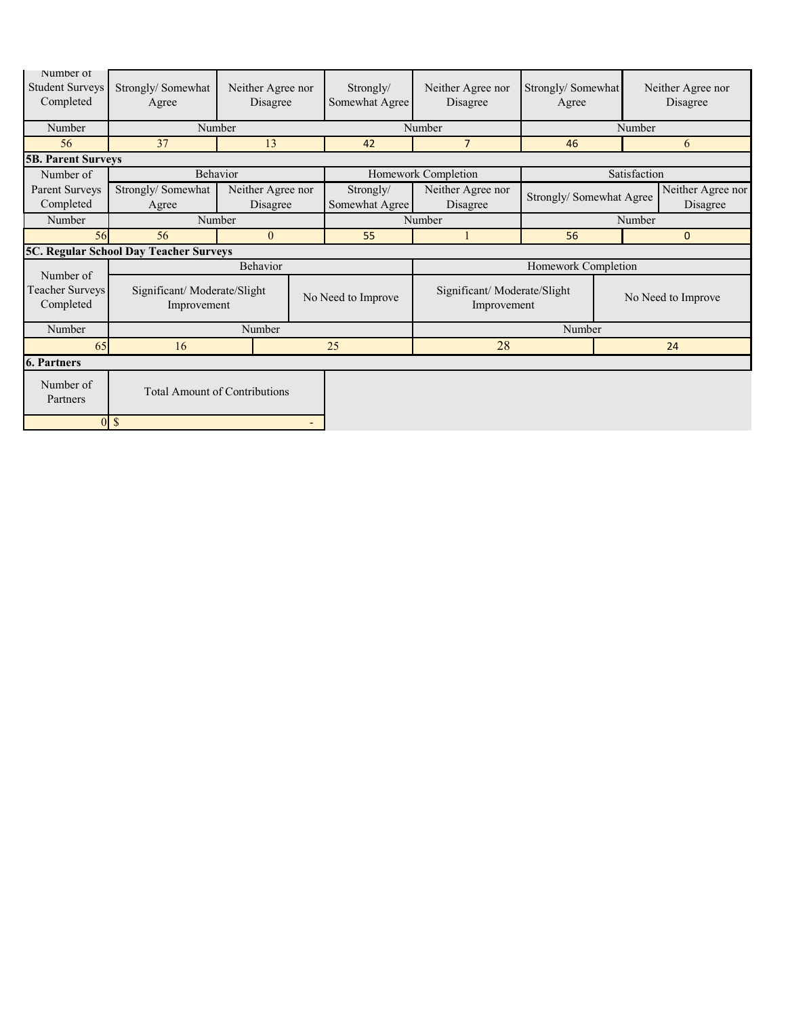| Number of<br><b>Student Surveys</b><br>Completed | Strongly/Somewhat<br>Agree                            | Neither Agree nor<br>Disagree |  | Strongly/<br>Somewhat Agree | Neither Agree nor<br>Disagree              | Strongly/Somewhat<br>Agree |                    | Neither Agree nor<br>Disagree |
|--------------------------------------------------|-------------------------------------------------------|-------------------------------|--|-----------------------------|--------------------------------------------|----------------------------|--------------------|-------------------------------|
| Number                                           | Number                                                |                               |  |                             | Number                                     |                            | Number             |                               |
| 56                                               | 37                                                    | 13                            |  | 42                          | $\overline{7}$                             | 46                         |                    | 6                             |
| <b>5B. Parent Surveys</b>                        |                                                       |                               |  |                             |                                            |                            |                    |                               |
| Number of                                        | Behavior                                              |                               |  |                             | Homework Completion                        |                            | Satisfaction       |                               |
| Parent Surveys                                   | Strongly/Somewhat                                     | Neither Agree nor             |  | Strongly/                   | Neither Agree nor                          | Strongly/ Somewhat Agree   |                    | Neither Agree nor             |
| Completed                                        | Agree                                                 | Disagree                      |  | Somewhat Agree              | Disagree                                   |                            |                    | Disagree                      |
| Number                                           | Number                                                |                               |  |                             | Number                                     |                            | Number             |                               |
| 56                                               | 56                                                    | $\Omega$                      |  | 55                          | $\mathbf{1}$                               | 56                         | $\mathbf{0}$       |                               |
|                                                  | 5C. Regular School Day Teacher Surveys                |                               |  |                             |                                            |                            |                    |                               |
| Number of                                        |                                                       | Behavior                      |  |                             |                                            | Homework Completion        |                    |                               |
| Teacher Surveys<br>Completed                     | Significant/Moderate/Slight<br>Improvement            |                               |  | No Need to Improve          | Significant/Moderate/Slight<br>Improvement |                            | No Need to Improve |                               |
| Number                                           |                                                       | Number                        |  |                             |                                            | Number                     |                    |                               |
| 65                                               | 16                                                    |                               |  | 28<br>25                    |                                            |                            |                    | 24                            |
| <b>6. Partners</b>                               |                                                       |                               |  |                             |                                            |                            |                    |                               |
| Number of<br>Partners                            | <b>Total Amount of Contributions</b>                  |                               |  |                             |                                            |                            |                    |                               |
|                                                  | <sup>\$</sup><br>$\Omega$<br>$\overline{\phantom{0}}$ |                               |  |                             |                                            |                            |                    |                               |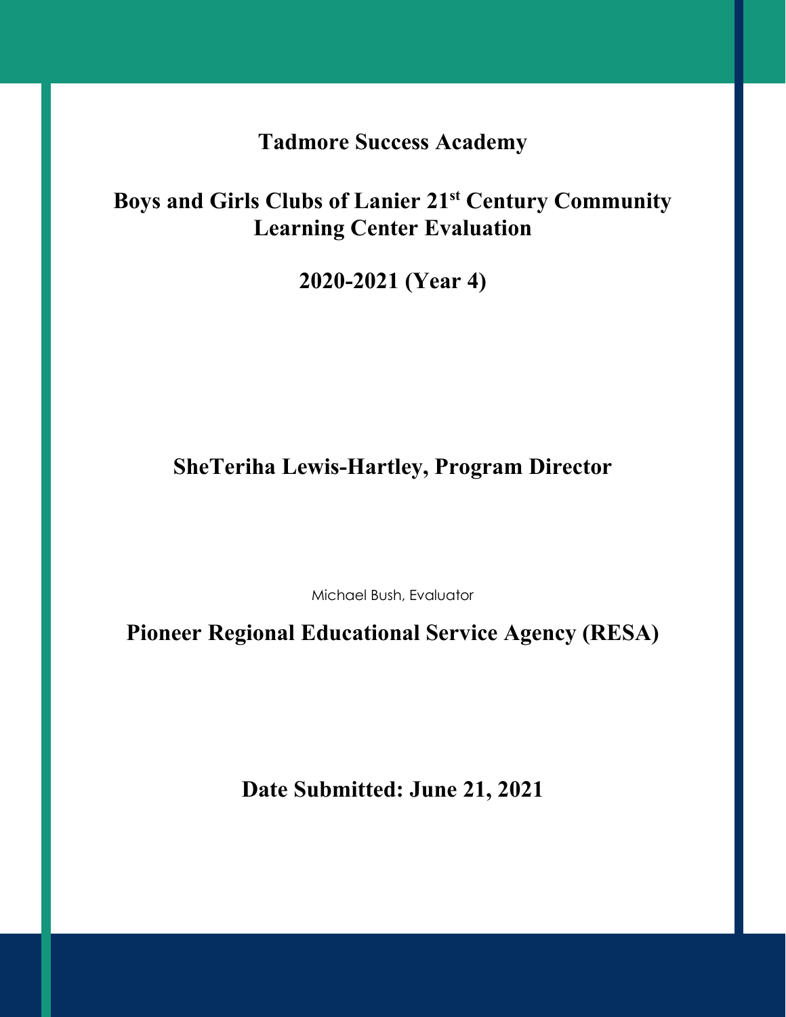**Tadmore Success Academy**

**Boys and Girls Clubs of Lanier 21st Century Community Learning Center Evaluation**

**2020-2021 (Year 4)**

**SheTeriha Lewis-Hartley, Program Director**

Michael Bush, Evaluator

**Pioneer Regional Educational Service Agency (RESA)**

**Date Submitted: June 21, 2021**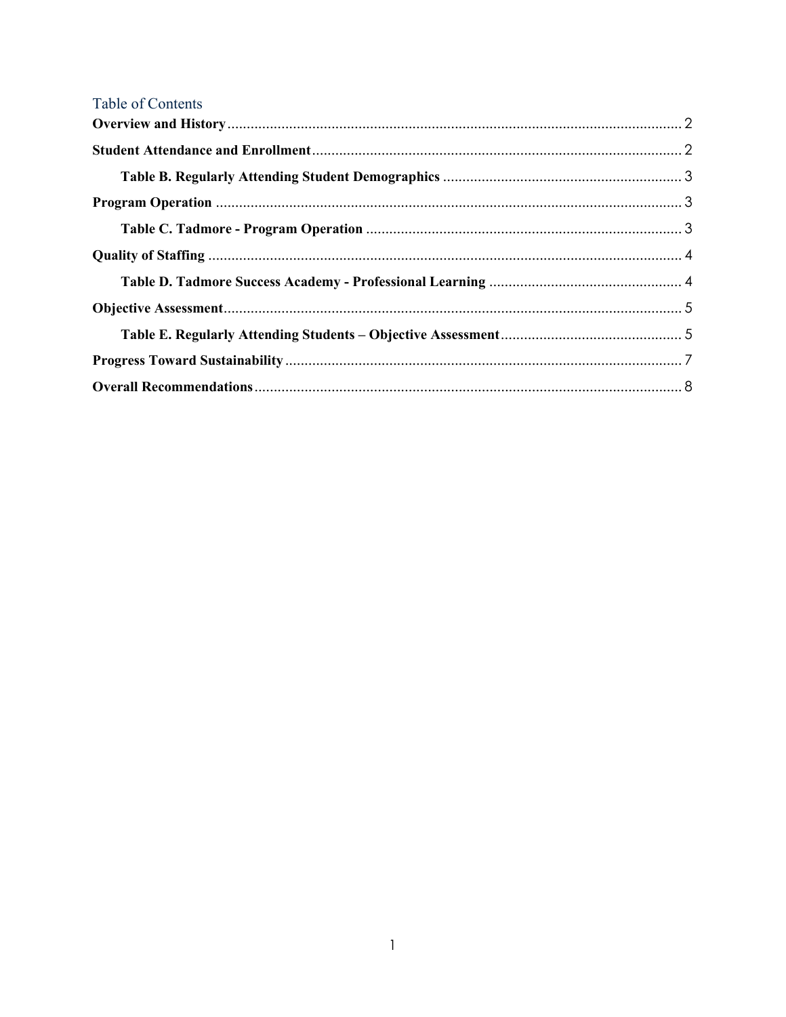| Table of Contents |  |
|-------------------|--|
|                   |  |
|                   |  |
|                   |  |
|                   |  |
|                   |  |
|                   |  |
|                   |  |
|                   |  |
|                   |  |
|                   |  |
|                   |  |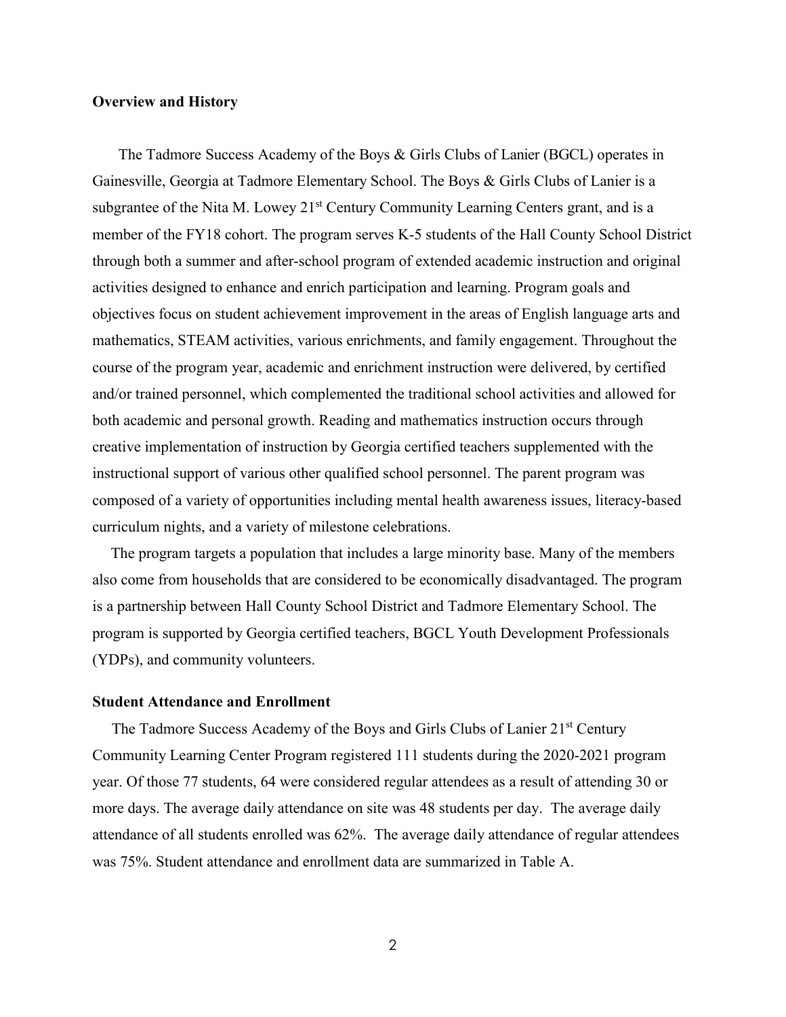#### <span id="page-4-0"></span>**Overview and History**

 The Tadmore Success Academy of the Boys & Girls Clubs of Lanier (BGCL) operates in Gainesville, Georgia at Tadmore Elementary School. The Boys & Girls Clubs of Lanier is a subgrantee of the Nita M. Lowey 21<sup>st</sup> Century Community Learning Centers grant, and is a member of the FY18 cohort. The program serves K-5 students of the Hall County School District through both a summer and after-school program of extended academic instruction and original activities designed to enhance and enrich participation and learning. Program goals and objectives focus on student achievement improvement in the areas of English language arts and mathematics, STEAM activities, various enrichments, and family engagement. Throughout the course of the program year, academic and enrichment instruction were delivered, by certified and/or trained personnel, which complemented the traditional school activities and allowed for both academic and personal growth. Reading and mathematics instruction occurs through creative implementation of instruction by Georgia certified teachers supplemented with the instructional support of various other qualified school personnel. The parent program was composed of a variety of opportunities including mental health awareness issues, literacy-based curriculum nights, and a variety of milestone celebrations.

The program targets a population that includes a large minority base. Many of the members also come from households that are considered to be economically disadvantaged. The program is a partnership between Hall County School District and Tadmore Elementary School. The program is supported by Georgia certified teachers, BGCL Youth Development Professionals (YDPs), and community volunteers.

#### <span id="page-4-1"></span>**Student Attendance and Enrollment**

The Tadmore Success Academy of the Boys and Girls Clubs of Lanier 21<sup>st</sup> Century Community Learning Center Program registered 111 students during the 2020-2021 program year. Of those 77 students, 64 were considered regular attendees as a result of attending 30 or more days. The average daily attendance on site was 48 students per day. The average daily attendance of all students enrolled was 62%. The average daily attendance of regular attendees was 75%. Student attendance and enrollment data are summarized in Table A.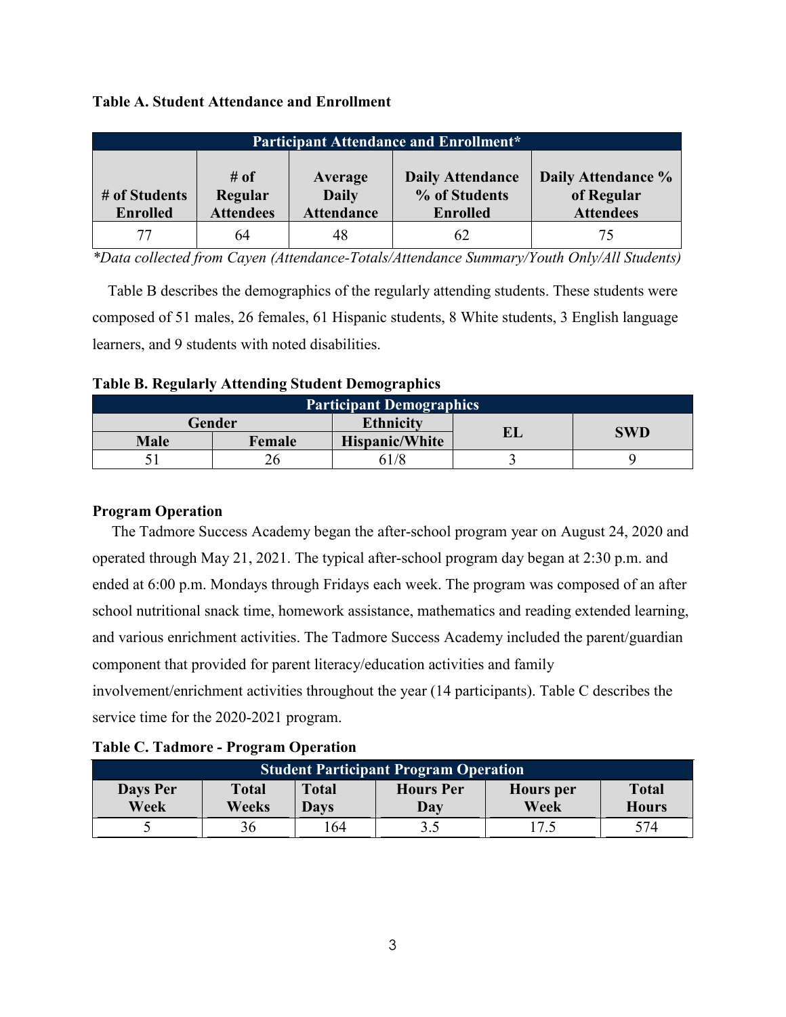|  |  |  |  | <b>Table A. Student Attendance and Enrollment</b> |
|--|--|--|--|---------------------------------------------------|
|--|--|--|--|---------------------------------------------------|

| <b>Participant Attendance and Enrollment*</b> |                                     |                                              |                                                             |                                                      |  |  |  |
|-----------------------------------------------|-------------------------------------|----------------------------------------------|-------------------------------------------------------------|------------------------------------------------------|--|--|--|
| # of Students<br><b>Enrolled</b>              | # of<br>Regular<br><b>Attendees</b> | Average<br><b>Daily</b><br><b>Attendance</b> | <b>Daily Attendance</b><br>% of Students<br><b>Enrolled</b> | Daily Attendance %<br>of Regular<br><b>Attendees</b> |  |  |  |
| 77                                            | 64                                  | 48                                           | 62                                                          | 75                                                   |  |  |  |

*\*Data collected from Cayen (Attendance-Totals/Attendance Summary/Youth Only/All Students)*

 Table B describes the demographics of the regularly attending students. These students were composed of 51 males, 26 females, 61 Hispanic students, 8 White students, 3 English language learners, and 9 students with noted disabilities.

<span id="page-5-0"></span>

|  |  | <b>Table B. Regularly Attending Student Demographics</b> |  |
|--|--|----------------------------------------------------------|--|
|  |  |                                                          |  |

| <b>Participant Demographics</b> |        |                       |    |            |  |  |
|---------------------------------|--------|-----------------------|----|------------|--|--|
|                                 | Gender | <b>Ethnicity</b>      |    | <b>SWD</b> |  |  |
| <b>Male</b>                     | Female | <b>Hispanic/White</b> | ťЦ |            |  |  |
|                                 |        | 61/8                  |    |            |  |  |

### <span id="page-5-1"></span>**Program Operation**

 The Tadmore Success Academy began the after-school program year on August 24, 2020 and operated through May 21, 2021. The typical after-school program day began at 2:30 p.m. and ended at 6:00 p.m. Mondays through Fridays each week. The program was composed of an after school nutritional snack time, homework assistance, mathematics and reading extended learning, and various enrichment activities. The Tadmore Success Academy included the parent/guardian component that provided for parent literacy/education activities and family involvement/enrichment activities throughout the year (14 participants). Table C describes the service time for the 2020-2021 program.

<span id="page-5-2"></span>

| <b>Table C. Tadmore - Program Operation</b> |  |
|---------------------------------------------|--|
|                                             |  |

| <b>Student Participant Program Operation</b> |                       |                             |                         |                          |                              |  |  |
|----------------------------------------------|-----------------------|-----------------------------|-------------------------|--------------------------|------------------------------|--|--|
| Days Per<br>Week                             | <b>Total</b><br>Weeks | <b>Total</b><br><b>Davs</b> | <b>Hours</b> Per<br>Day | <b>Hours</b> per<br>Week | <b>Total</b><br><b>Hours</b> |  |  |
|                                              |                       | .64                         | 3.5                     |                          | 574                          |  |  |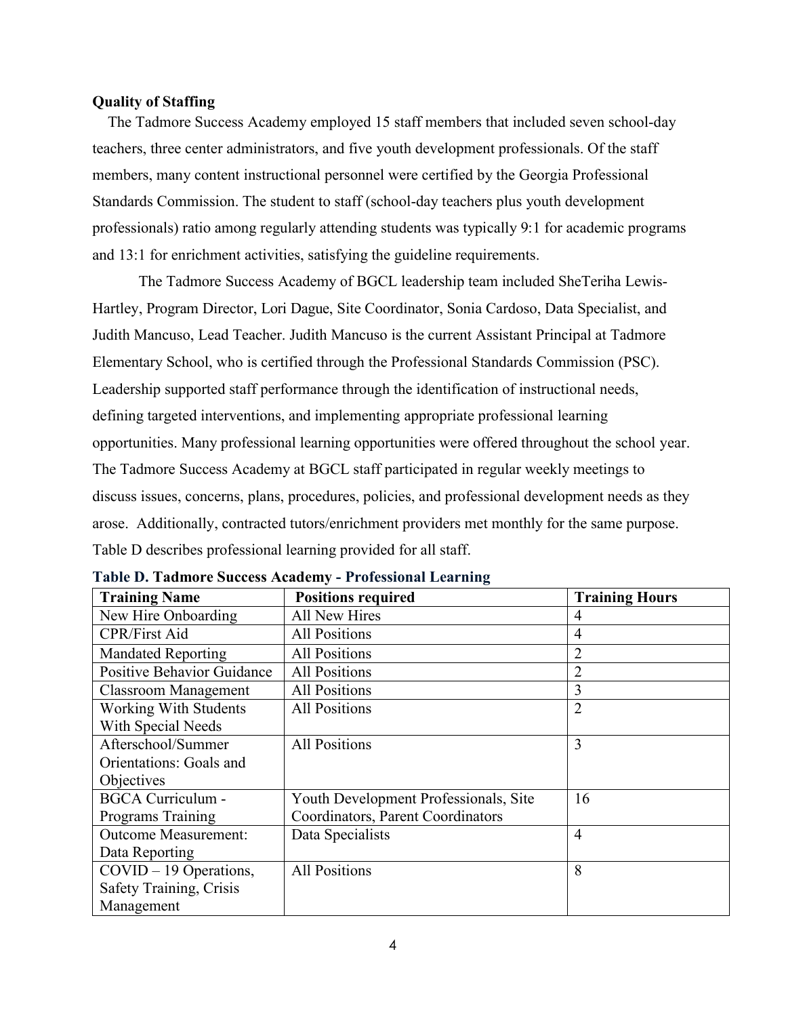#### <span id="page-6-0"></span>**Quality of Staffing**

 The Tadmore Success Academy employed 15 staff members that included seven school-day teachers, three center administrators, and five youth development professionals. Of the staff members, many content instructional personnel were certified by the Georgia Professional Standards Commission. The student to staff (school-day teachers plus youth development professionals) ratio among regularly attending students was typically 9:1 for academic programs and 13:1 for enrichment activities, satisfying the guideline requirements.

The Tadmore Success Academy of BGCL leadership team included SheTeriha Lewis-Hartley, Program Director, Lori Dague, Site Coordinator, Sonia Cardoso, Data Specialist, and Judith Mancuso, Lead Teacher. Judith Mancuso is the current Assistant Principal at Tadmore Elementary School, who is certified through the Professional Standards Commission (PSC). Leadership supported staff performance through the identification of instructional needs, defining targeted interventions, and implementing appropriate professional learning opportunities. Many professional learning opportunities were offered throughout the school year. The Tadmore Success Academy at BGCL staff participated in regular weekly meetings to discuss issues, concerns, plans, procedures, policies, and professional development needs as they arose. Additionally, contracted tutors/enrichment providers met monthly for the same purpose. Table D describes professional learning provided for all staff.

| <b>Training Name</b>              | <b>Positions required</b>             | <b>Training Hours</b> |
|-----------------------------------|---------------------------------------|-----------------------|
| New Hire Onboarding               | All New Hires                         | 4                     |
| <b>CPR/First Aid</b>              | <b>All Positions</b>                  | 4                     |
| <b>Mandated Reporting</b>         | <b>All Positions</b>                  | $\overline{2}$        |
| <b>Positive Behavior Guidance</b> | <b>All Positions</b>                  | $\overline{2}$        |
| <b>Classroom Management</b>       | <b>All Positions</b>                  | 3                     |
| <b>Working With Students</b>      | <b>All Positions</b>                  | $\overline{2}$        |
| With Special Needs                |                                       |                       |
| Afterschool/Summer                | <b>All Positions</b>                  | 3                     |
| Orientations: Goals and           |                                       |                       |
| Objectives                        |                                       |                       |
| <b>BGCA Curriculum -</b>          | Youth Development Professionals, Site | 16                    |
| Programs Training                 | Coordinators, Parent Coordinators     |                       |
| <b>Outcome Measurement:</b>       | Data Specialists                      | $\overline{4}$        |
| Data Reporting                    |                                       |                       |
| $COVID - 19$ Operations,          | <b>All Positions</b>                  | 8                     |
| Safety Training, Crisis           |                                       |                       |
| Management                        |                                       |                       |

<span id="page-6-1"></span>**Table D. Tadmore Success Academy - Professional Learning**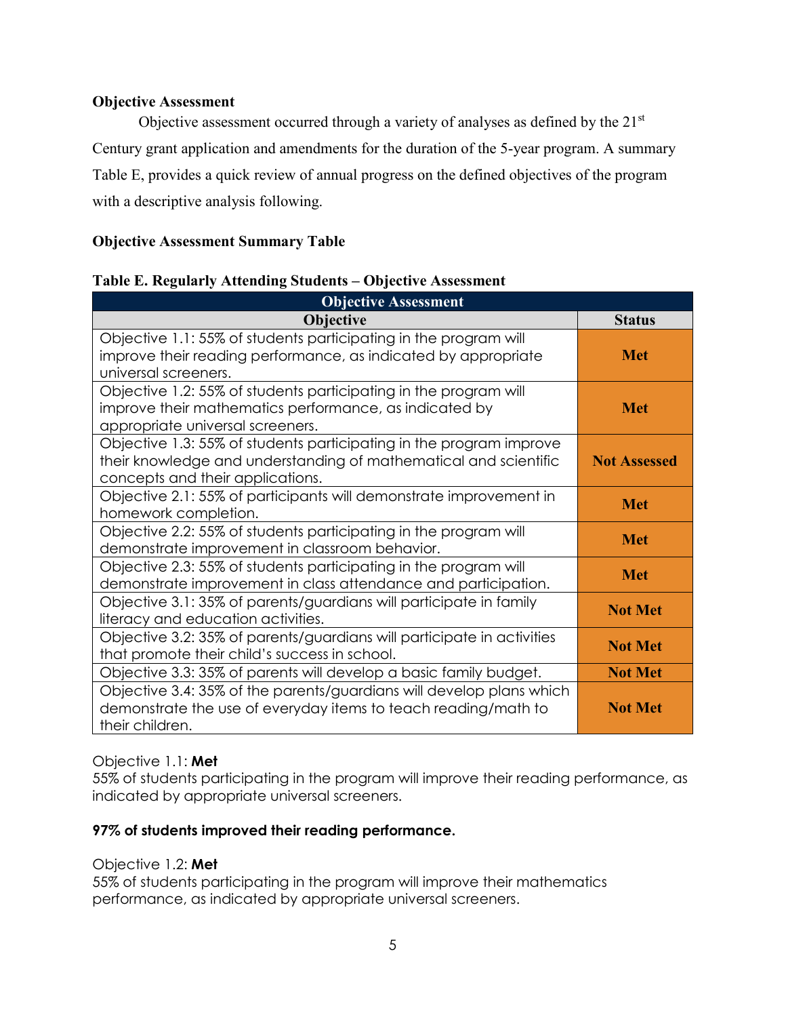### <span id="page-7-0"></span>**Objective Assessment**

Objective assessment occurred through a variety of analyses as defined by the 21<sup>st</sup> Century grant application and amendments for the duration of the 5-year program. A summary Table E, provides a quick review of annual progress on the defined objectives of the program with a descriptive analysis following.

# **Objective Assessment Summary Table**

### <span id="page-7-1"></span>**Table E. Regularly Attending Students – Objective Assessment**

| <b>Objective Assessment</b>                                                                                                                                                 |                     |
|-----------------------------------------------------------------------------------------------------------------------------------------------------------------------------|---------------------|
| Objective                                                                                                                                                                   | <b>Status</b>       |
| Objective 1.1: 55% of students participating in the program will<br>improve their reading performance, as indicated by appropriate<br>universal screeners.                  | <b>Met</b>          |
| Objective 1.2: 55% of students participating in the program will<br>improve their mathematics performance, as indicated by<br>appropriate universal screeners.              | <b>Met</b>          |
| Objective 1.3: 55% of students participating in the program improve<br>their knowledge and understanding of mathematical and scientific<br>concepts and their applications. | <b>Not Assessed</b> |
| Objective 2.1: 55% of participants will demonstrate improvement in<br>homework completion.                                                                                  | <b>Met</b>          |
| Objective 2.2: 55% of students participating in the program will<br>demonstrate improvement in classroom behavior.                                                          | <b>Met</b>          |
| Objective 2.3: 55% of students participating in the program will<br>demonstrate improvement in class attendance and participation.                                          | <b>Met</b>          |
| Objective 3.1: 35% of parents/guardians will participate in family<br>literacy and education activities.                                                                    | <b>Not Met</b>      |
| Objective 3.2: 35% of parents/guardians will participate in activities<br>that promote their child's success in school.                                                     | <b>Not Met</b>      |
| Objective 3.3: 35% of parents will develop a basic family budget.                                                                                                           | <b>Not Met</b>      |
| Objective 3.4: 35% of the parents/guardians will develop plans which<br>demonstrate the use of everyday items to teach reading/math to<br>their children.                   | <b>Not Met</b>      |

#### Objective 1.1: **Met**

55% of students participating in the program will improve their reading performance, as indicated by appropriate universal screeners.

#### **97% of students improved their reading performance.**

#### Objective 1.2: **Met**

55% of students participating in the program will improve their mathematics performance, as indicated by appropriate universal screeners.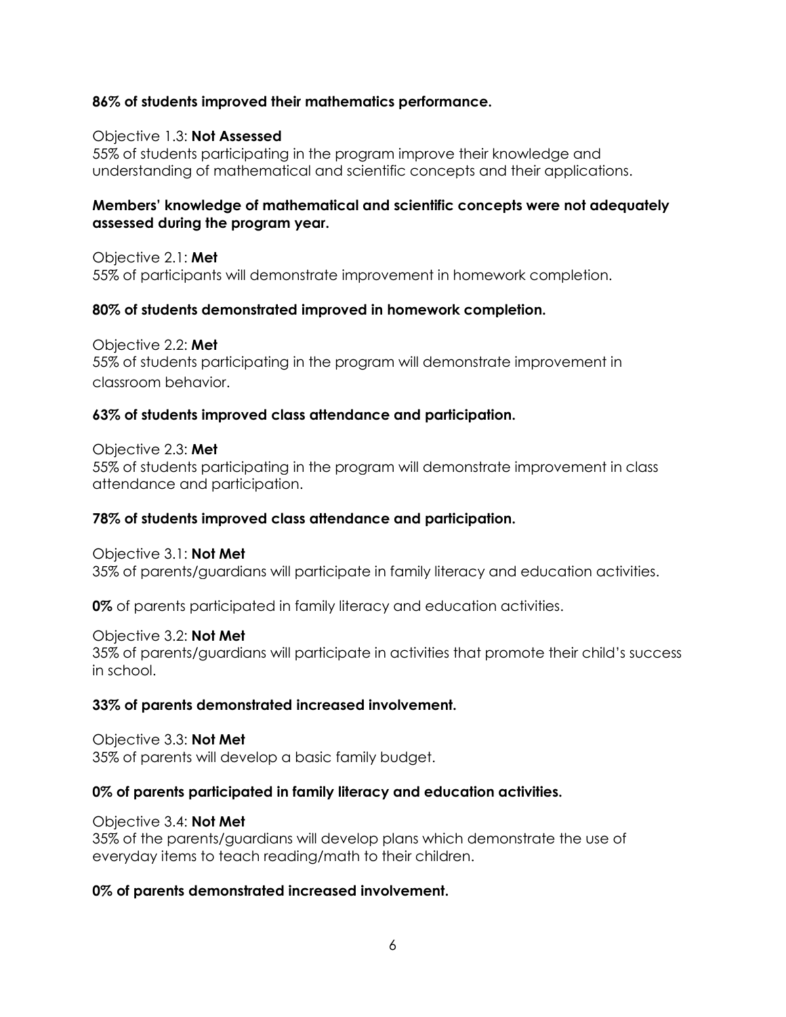### **86% of students improved their mathematics performance.**

#### Objective 1.3: **Not Assessed**

55% of students participating in the program improve their knowledge and understanding of mathematical and scientific concepts and their applications.

### **Members' knowledge of mathematical and scientific concepts were not adequately assessed during the program year.**

Objective 2.1: **Met** 55% of participants will demonstrate improvement in homework completion.

# **80% of students demonstrated improved in homework completion.**

Objective 2.2: **Met** 55% of students participating in the program will demonstrate improvement in classroom behavior.

# **63% of students improved class attendance and participation.**

# Objective 2.3: **Met**

55% of students participating in the program will demonstrate improvement in class attendance and participation.

# **78% of students improved class attendance and participation.**

# Objective 3.1: **Not Met**

35% of parents/guardians will participate in family literacy and education activities.

**0%** of parents participated in family literacy and education activities.

# Objective 3.2: **Not Met**

35% of parents/guardians will participate in activities that promote their child's success in school.

# **33% of parents demonstrated increased involvement.**

Objective 3.3: **Not Met** 35% of parents will develop a basic family budget.

# **0% of parents participated in family literacy and education activities.**

# Objective 3.4: **Not Met**

35% of the parents/guardians will develop plans which demonstrate the use of everyday items to teach reading/math to their children.

# **0% of parents demonstrated increased involvement.**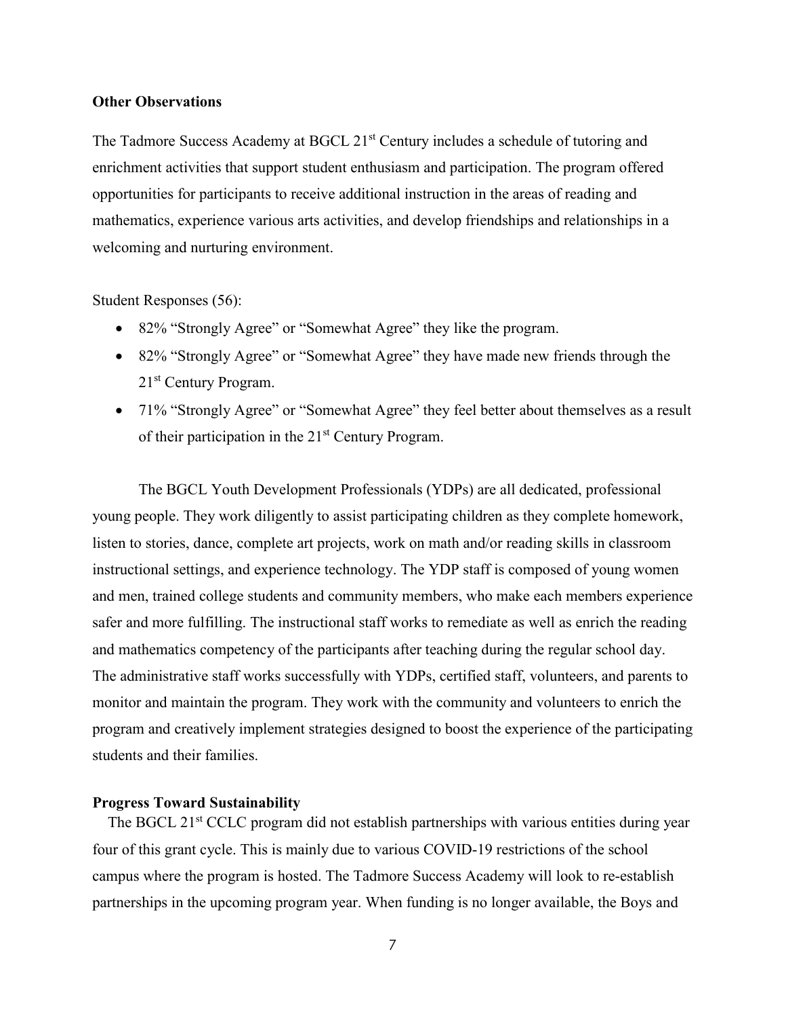#### **Other Observations**

The Tadmore Success Academy at BGCL 21<sup>st</sup> Century includes a schedule of tutoring and enrichment activities that support student enthusiasm and participation. The program offered opportunities for participants to receive additional instruction in the areas of reading and mathematics, experience various arts activities, and develop friendships and relationships in a welcoming and nurturing environment.

Student Responses (56):

- 82% "Strongly Agree" or "Somewhat Agree" they like the program.
- 82% "Strongly Agree" or "Somewhat Agree" they have made new friends through the 21st Century Program.
- 71% "Strongly Agree" or "Somewhat Agree" they feel better about themselves as a result of their participation in the 21<sup>st</sup> Century Program.

The BGCL Youth Development Professionals (YDPs) are all dedicated, professional young people. They work diligently to assist participating children as they complete homework, listen to stories, dance, complete art projects, work on math and/or reading skills in classroom instructional settings, and experience technology. The YDP staff is composed of young women and men, trained college students and community members, who make each members experience safer and more fulfilling. The instructional staff works to remediate as well as enrich the reading and mathematics competency of the participants after teaching during the regular school day. The administrative staff works successfully with YDPs, certified staff, volunteers, and parents to monitor and maintain the program. They work with the community and volunteers to enrich the program and creatively implement strategies designed to boost the experience of the participating students and their families.

#### <span id="page-9-0"></span>**Progress Toward Sustainability**

The BGCL 21<sup>st</sup> CCLC program did not establish partnerships with various entities during year four of this grant cycle. This is mainly due to various COVID-19 restrictions of the school campus where the program is hosted. The Tadmore Success Academy will look to re-establish partnerships in the upcoming program year. When funding is no longer available, the Boys and

7